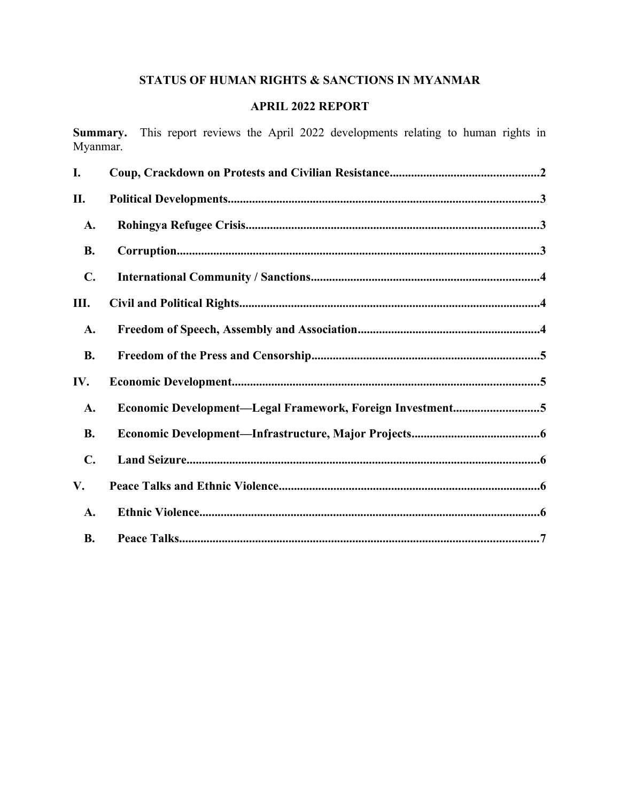# STATUS OF HUMAN RIGHTS & SANCTIONS IN MYANMAR

# **APRIL 2022 REPORT**

Summary. This report reviews the April 2022 developments relating to human rights in Myanmar.

| I.             |                                                           |
|----------------|-----------------------------------------------------------|
| П.             |                                                           |
| A.             |                                                           |
| <b>B.</b>      |                                                           |
| $\mathbf{C}$ . |                                                           |
| Ш.             |                                                           |
| A.             |                                                           |
| <b>B.</b>      |                                                           |
| IV.            |                                                           |
| A.             | Economic Development-Legal Framework, Foreign Investment5 |
| <b>B.</b>      |                                                           |
| $\mathbf{C}$ . |                                                           |
| V.             |                                                           |
| A.             |                                                           |
| <b>B.</b>      |                                                           |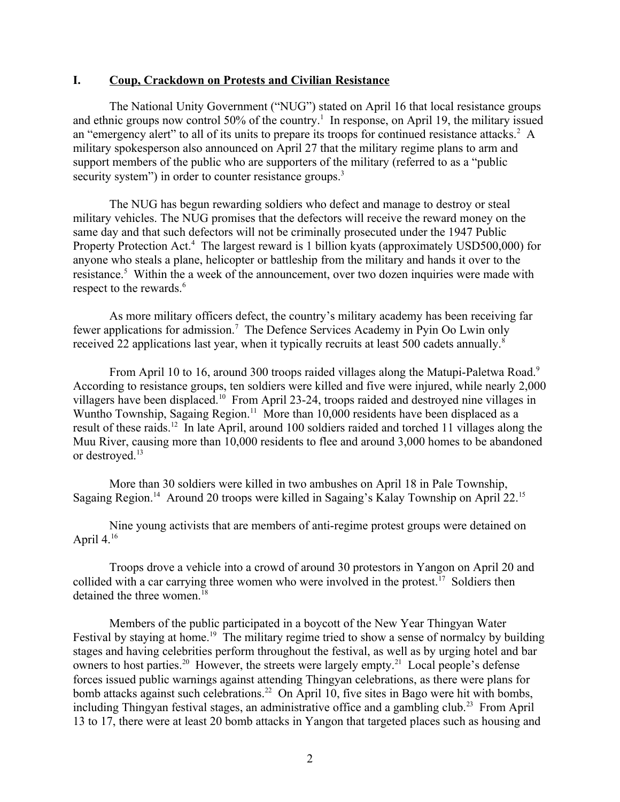#### <span id="page-1-0"></span>**I. Coup, Crackdown on Protests and Civilian Resistance**

The National Unity Government ("NUG") stated on April 16 that local resistance groups and ethnic groups now control 50% of the country.<sup>[1](#page-8-0)</sup> In response, on April 19, the military issued an "emergency alert" to all of its units to prepare its troops for continued resistance attacks.<sup>[2](#page-8-1)</sup> A military spokesperson also announced on April 27 that the military regime plans to arm and support members of the public who are supporters of the military (referred to as a "public security system") in order to counter resistance groups.<sup>[3](#page-8-2)</sup>

<span id="page-1-3"></span><span id="page-1-2"></span><span id="page-1-1"></span>The NUG has begun rewarding soldiers who defect and manage to destroy or steal military vehicles. The NUG promises that the defectors will receive the reward money on the same day and that such defectors will not be criminally prosecuted under the 1947 Public Property Protection Act.<sup>[4](#page-8-3)</sup> The largest reward is 1 billion kyats (approximately USD500,000) for anyone who steals a plane, helicopter or battleship from the military and hands it over to the resistance.<sup>[5](#page-8-4)</sup> Within the a week of the announcement, over two dozen inquiries were made with respect to the rewards.<sup>[6](#page-8-5)</sup>

<span id="page-1-6"></span><span id="page-1-5"></span><span id="page-1-4"></span>As more military officers defect, the country's military academy has been receiving far fewer applications for admission.<sup>[7](#page-8-6)</sup> The Defence Services Academy in Pyin Oo Lwin only received 22 applications last year, when it typically recruits at least 500 cadets annually.<sup>[8](#page-8-7)</sup>

<span id="page-1-9"></span><span id="page-1-8"></span><span id="page-1-7"></span>From April 10 to 16, around 300 troops raided villages along the Matupi-Paletwa Road.<sup>[9](#page-8-8)</sup> According to resistance groups, ten soldiers were killed and five were injured, while nearly 2,000 villagers have been displaced.[10](#page-8-9) From April 23-24, troops raided and destroyed nine villages in Wuntho Township, Sagaing Region.<sup>[11](#page-8-10)</sup> More than  $10,000$  residents have been displaced as a result of these raids.[12](#page-8-11) In late April, around 100 soldiers raided and torched 11 villages along the Muu River, causing more than 10,000 residents to flee and around 3,000 homes to be abandoned or destroyed.<sup>[13](#page-8-12)</sup>

<span id="page-1-12"></span><span id="page-1-11"></span><span id="page-1-10"></span>More than 30 soldiers were killed in two ambushes on April 18 in Pale Township, Sagaing Region.<sup>[14](#page-8-13)</sup> Around 20 troops were killed in Sagaing's Kalay Township on April 22.<sup>[15](#page-8-14)</sup>

<span id="page-1-15"></span><span id="page-1-14"></span><span id="page-1-13"></span>Nine young activists that are members of anti-regime protest groups were detained on April  $4^{16}$  $4^{16}$  $4^{16}$ 

<span id="page-1-16"></span>Troops drove a vehicle into a crowd of around 30 protestors in Yangon on April 20 and collided with a car carrying three women who were involved in the protest.<sup>[17](#page-8-16)</sup> Soldiers then detained the three women.<sup>[18](#page-8-17)</sup>

<span id="page-1-23"></span><span id="page-1-22"></span><span id="page-1-21"></span><span id="page-1-20"></span><span id="page-1-19"></span><span id="page-1-18"></span><span id="page-1-17"></span>Members of the public participated in a boycott of the New Year Thingyan Water Festival by staying at home.<sup>[19](#page-8-18)</sup> The military regime tried to show a sense of normalcy by building stages and having celebrities perform throughout the festival, as well as by urging hotel and bar owners to host parties.<sup>[20](#page-8-19)</sup> However, the streets were largely empty.<sup>[21](#page-8-20)</sup> Local people's defense forces issued public warnings against attending Thingyan celebrations, as there were plans for bomb attacks against such celebrations.<sup>[22](#page-8-21)</sup> On April 10, five sites in Bago were hit with bombs, including Thingyan festival stages, an administrative office and a gambling club.<sup>[23](#page-8-22)</sup> From April 13 to 17, there were at least 20 bomb attacks in Yangon that targeted places such as housing and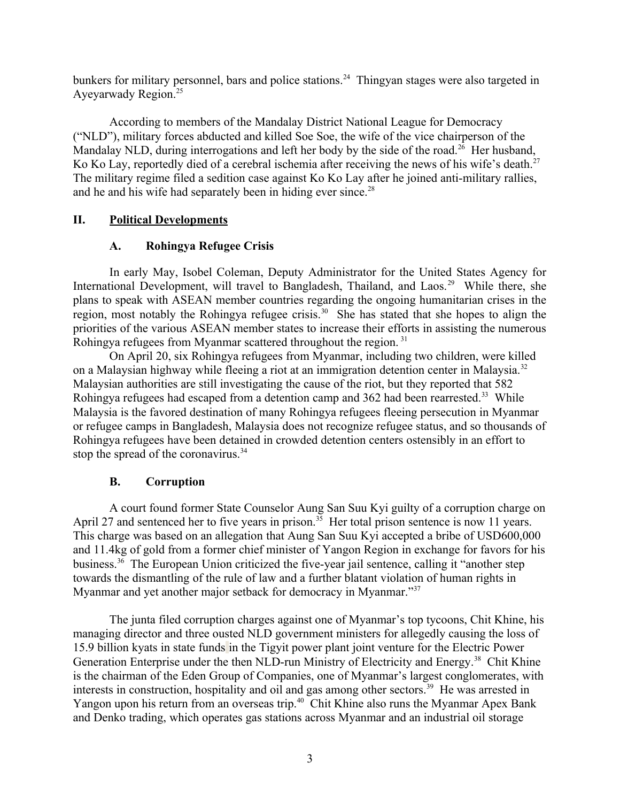bunkers for military personnel, bars and police stations.<sup>[24](#page-8-23)</sup> Thingyan stages were also targeted in Ayeyarwady Region.[25](#page-8-24)

<span id="page-2-4"></span>According to members of the Mandalay District National League for Democracy ("NLD"), military forces abducted and killed Soe Soe, the wife of the vice chairperson of the Mandalay NLD, during interrogations and left her body by the side of the road.<sup>[26](#page-8-25)</sup> Her husband, Ko Ko Lay, reportedly died of a cerebral ischemia after receiving the news of his wife's death.<sup>[27](#page-8-26)</sup> The military regime filed a sedition case against Ko Ko Lay after he joined anti-military rallies, and he and his wife had separately been in hiding ever since.<sup>[28](#page-8-27)</sup>

## **II. Political Developments**

### <span id="page-2-9"></span><span id="page-2-8"></span><span id="page-2-7"></span><span id="page-2-6"></span><span id="page-2-5"></span><span id="page-2-3"></span><span id="page-2-2"></span><span id="page-2-1"></span>**A. Rohingya Refugee Crisis**

In early May, Isobel Coleman, Deputy Administrator for the United States Agency for International Development, will travel to Bangladesh, Thailand, and Laos.<sup>[29](#page-8-28)</sup> While there, she plans to speak with ASEAN member countries regarding the ongoing humanitarian crises in the region, most notably the Rohingya refugee crisis.<sup>[30](#page-8-29)</sup> She has stated that she hopes to align the priorities of the various ASEAN member states to increase their efforts in assisting the numerous Rohingya refugees from Myanmar scattered throughout the region. [31](#page-8-30)

On April 20, six Rohingya refugees from Myanmar, including two children, were killed on a Malaysian highway while fleeing a riot at an immigration detention center in Malaysia.<sup>[32](#page-8-31)</sup> Malaysian authorities are still investigating the cause of the riot, but they reported that 582 Rohingya refugees had escaped from a detention camp and 362 had been rearrested.<sup>[33](#page-8-32)</sup> While Malaysia is the favored destination of many Rohingya refugees fleeing persecution in Myanmar or refugee camps in Bangladesh, Malaysia does not recognize refugee status, and so thousands of Rohingya refugees have been detained in crowded detention centers ostensibly in an effort to stop the spread of the coronavirus.<sup>[34](#page-8-33)</sup>

## <span id="page-2-14"></span><span id="page-2-13"></span><span id="page-2-12"></span><span id="page-2-11"></span><span id="page-2-10"></span><span id="page-2-0"></span>**B. Corruption**

A court found former State Counselor Aung San Suu Kyi guilty of a corruption charge on April 27 and sentenced her to five years in prison.<sup>[35](#page-8-34)</sup> Her total prison sentence is now 11 years. This charge was based on an allegation that Aung San Suu Kyi accepted a bribe of USD600,000 and 11.4kg of gold from a former chief minister of Yangon Region in exchange for favors for his business.<sup>[36](#page-8-35)</sup> The European Union criticized the five-year jail sentence, calling it "another step towards the dismantling of the rule of law and a further blatant violation of human rights in Myanmar and yet another major setback for democracy in Myanmar."<sup>[37](#page-8-36)</sup>

<span id="page-2-19"></span><span id="page-2-18"></span><span id="page-2-17"></span><span id="page-2-16"></span><span id="page-2-15"></span>The junta filed corruption charges against one of Myanmar's top tycoons, Chit Khine, his managing director and three ousted NLD government ministers for allegedly causing the loss of 15.9 billion kyats in state funds in the Tigyit power plant joint venture for the Electric Power Generation Enterprise under the then NLD-run Ministry of Electricity and Energy.<sup>[38](#page-8-37)</sup> Chit Khine is the chairman of the Eden Group of Companies, one of Myanmar's largest conglomerates, with interests in construction, hospitality and oil and gas among other sectors.<sup>[39](#page-8-38)</sup> He was arrested in Yangon upon his return from an overseas trip.<sup>[40](#page-8-39)</sup> Chit Khine also runs the Myanmar Apex Bank and Denko trading, which operates gas stations across Myanmar and an industrial oil storage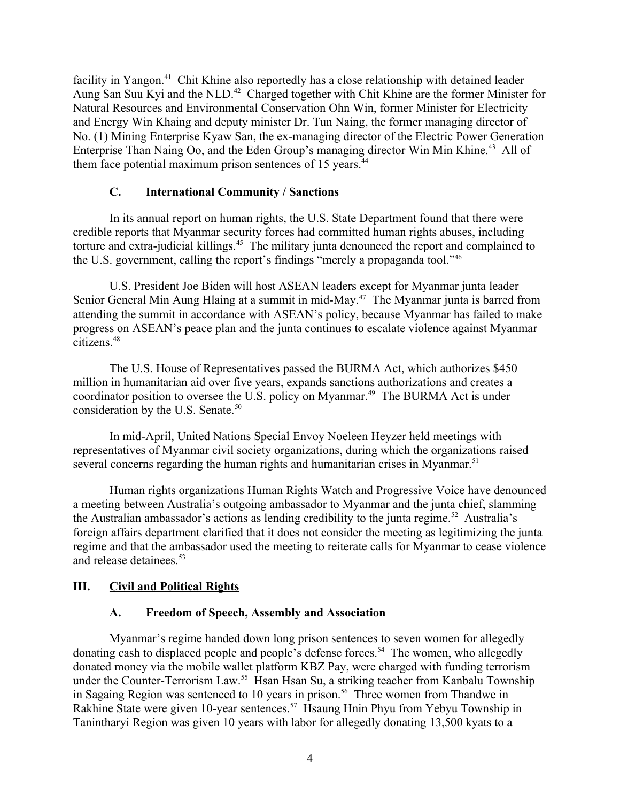facility in Yangon.<sup>[41](#page-8-40)</sup> Chit Khine also reportedly has a close relationship with detained leader Aung San Suu Kyi and the NLD.[42](#page-8-41) Charged together with Chit Khine are the former Minister for Natural Resources and Environmental Conservation Ohn Win, former Minister for Electricity and Energy Win Khaing and deputy minister Dr. Tun Naing, the former managing director of No. (1) Mining Enterprise Kyaw San, the ex-managing director of the Electric Power Generation Enterprise Than Naing Oo, and the Eden Group's managing director Win Min Khine.<sup>[43](#page-8-42)</sup> All of them face potential maximum prison sentences of 15 years.<sup>[44](#page-8-43)</sup>

## <span id="page-3-8"></span><span id="page-3-7"></span><span id="page-3-6"></span><span id="page-3-5"></span><span id="page-3-4"></span><span id="page-3-3"></span><span id="page-3-2"></span>**C. International Community / Sanctions**

In its annual report on human rights, the U.S. State Department found that there were credible reports that Myanmar security forces had committed human rights abuses, including torture and extra-judicial killings.<sup>[45](#page-8-44)</sup> The military junta denounced the report and complained to the U.S. government, calling the report's findings "merely a propaganda tool."[46](#page-8-45)

U.S. President Joe Biden will host ASEAN leaders except for Myanmar junta leader Senior General Min Aung Hlaing at a summit in mid-May.[47](#page-8-46) The Myanmar junta is barred from attending the summit in accordance with ASEAN's policy, because Myanmar has failed to make progress on ASEAN's peace plan and the junta continues to escalate violence against Myanmar citizens.[48](#page-8-47)

<span id="page-3-10"></span><span id="page-3-9"></span>The U.S. House of Representatives passed the BURMA Act, which authorizes \$450 million in humanitarian aid over five years, expands sanctions authorizations and creates a coordinator position to oversee the U.S. policy on Myanmar.<sup>[49](#page-8-48)</sup> The BURMA Act is under consideration by the U.S. Senate.<sup>[50](#page-9-0)</sup>

<span id="page-3-12"></span><span id="page-3-11"></span>In mid-April, United Nations Special Envoy Noeleen Heyzer held meetings with representatives of Myanmar civil society organizations, during which the organizations raised several concerns regarding the human rights and humanitarian crises in Myanmar.<sup>[51](#page-9-1)</sup>

Human rights organizations Human Rights Watch and Progressive Voice have denounced a meeting between Australia's outgoing ambassador to Myanmar and the junta chief, slamming the Australian ambassador's actions as lending credibility to the junta regime.<sup>[52](#page-9-2)</sup> Australia's foreign affairs department clarified that it does not consider the meeting as legitimizing the junta regime and that the ambassador used the meeting to reiterate calls for Myanmar to cease violence and release detainees.<sup>[53](#page-9-3)</sup>

## **III. Civil and Political Rights**

### <span id="page-3-19"></span><span id="page-3-18"></span><span id="page-3-17"></span><span id="page-3-16"></span><span id="page-3-15"></span><span id="page-3-14"></span><span id="page-3-13"></span><span id="page-3-1"></span><span id="page-3-0"></span>**A. Freedom of Speech, Assembly and Association**

Myanmar's regime handed down long prison sentences to seven women for allegedly donating cash to displaced people and people's defense forces.<sup>[54](#page-9-4)</sup> The women, who allegedly donated money via the mobile wallet platform KBZ Pay, were charged with funding terrorism under the Counter-Terrorism Law.<sup>[55](#page-9-5)</sup> Hsan Hsan Su, a striking teacher from Kanbalu Township in Sagaing Region was sentenced to 10 years in prison.<sup>[56](#page-9-6)</sup> Three women from Thandwe in Rakhine State were given 10-year sentences.[57](#page-9-7) Hsaung Hnin Phyu from Yebyu Township in Tanintharyi Region was given 10 years with labor for allegedly donating 13,500 kyats to a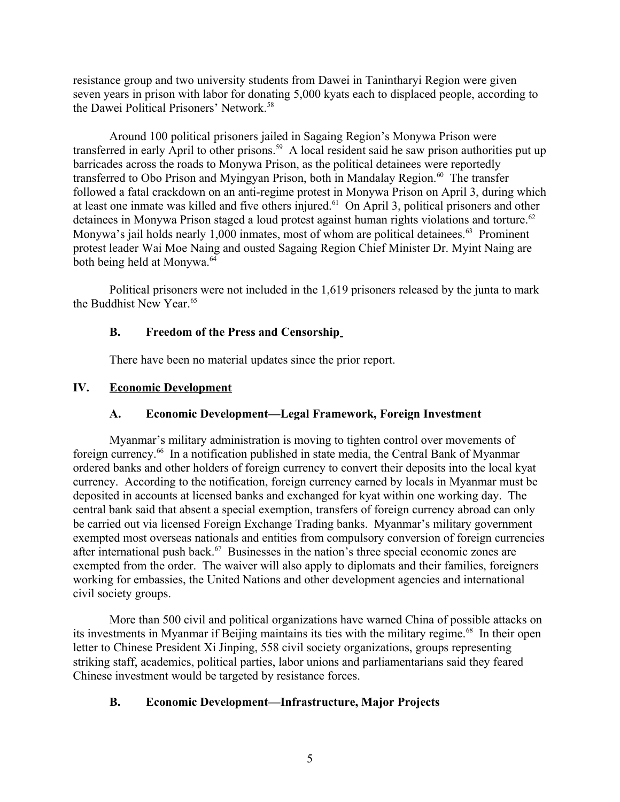resistance group and two university students from Dawei in Tanintharyi Region were given seven years in prison with labor for donating 5,000 kyats each to displaced people, according to the Dawei Political Prisoners' Network.<sup>[58](#page-9-8)</sup>

<span id="page-4-4"></span>Around 100 political prisoners jailed in Sagaing Region's Monywa Prison were transferred in early April to other prisons.<sup>[59](#page-9-9)</sup> A local resident said he saw prison authorities put up barricades across the roads to Monywa Prison, as the political detainees were reportedly transferred to Obo Prison and Myingyan Prison, both in Mandalay Region.<sup>[60](#page-9-10)</sup> The transfer followed a fatal crackdown on an anti-regime protest in Monywa Prison on April 3, during which at least one inmate was killed and five others injured.<sup>[61](#page-9-11)</sup> On April 3, political prisoners and other detainees in Monywa Prison staged a loud protest against human rights violations and torture.<sup>[62](#page-9-12)</sup> Monywa's jail holds nearly 1,000 inmates, most of whom are political detainees.<sup>[63](#page-9-13)</sup> Prominent protest leader Wai Moe Naing and ousted Sagaing Region Chief Minister Dr. Myint Naing are both being held at Monywa.<sup>[64](#page-9-14)</sup>

Political prisoners were not included in the 1,619 prisoners released by the junta to mark the Buddhist New Year<sup>[65](#page-9-15)</sup>

## <span id="page-4-10"></span><span id="page-4-9"></span><span id="page-4-8"></span><span id="page-4-7"></span><span id="page-4-6"></span><span id="page-4-5"></span><span id="page-4-3"></span>**B. Freedom of the Press and Censorship**

<span id="page-4-11"></span>There have been no material updates since the prior report.

## **IV. Economic Development**

## <span id="page-4-12"></span><span id="page-4-2"></span><span id="page-4-1"></span>**A. Economic Development—Legal Framework, Foreign Investment**

Myanmar's military administration is moving to tighten control over movements of foreign currency.[66](#page-9-16) In a notification published in state media, the Central Bank of Myanmar ordered banks and other holders of foreign currency to convert their deposits into the local kyat currency. According to the notification, foreign currency earned by locals in Myanmar must be deposited in accounts at licensed banks and exchanged for kyat within one working day. The central bank said that absent a special exemption, transfers of foreign currency abroad can only be carried out via licensed Foreign Exchange Trading banks. Myanmar's military government exempted most overseas nationals and entities from compulsory conversion of foreign currencies after international push back.[67](#page-9-17) Businesses in the nation's three special economic zones are exempted from the order. The waiver will also apply to diplomats and their families, foreigners working for embassies, the United Nations and other development agencies and international civil society groups.

<span id="page-4-13"></span>More than 500 civil and political organizations have warned China of possible attacks on its investments in Myanmar if Beijing maintains its ties with the military regime.<sup>[68](#page-9-18)</sup> In their open letter to Chinese President Xi Jinping, 558 civil society organizations, groups representing striking staff, academics, political parties, labor unions and parliamentarians said they feared Chinese investment would be targeted by resistance forces.

## <span id="page-4-14"></span><span id="page-4-0"></span>**B. Economic Development—Infrastructure, Major Projects**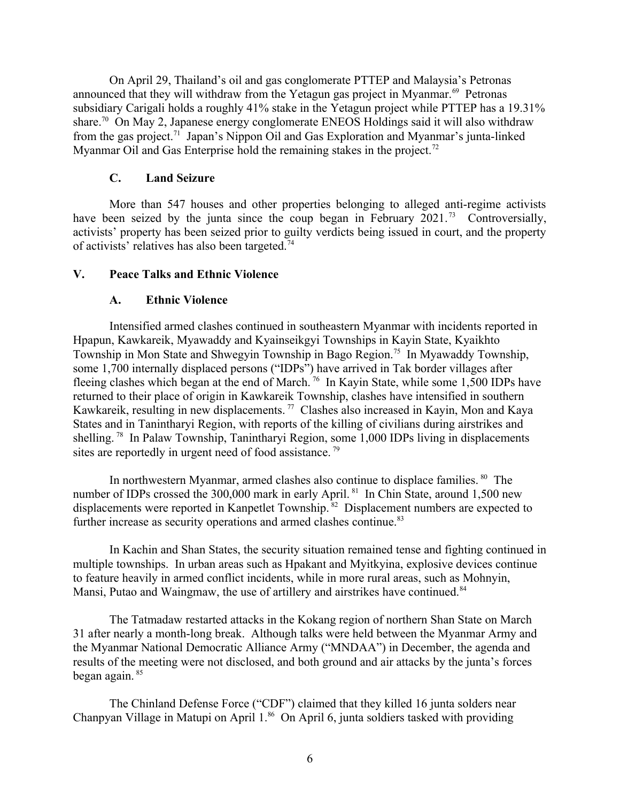On April 29, Thailand's oil and gas conglomerate PTTEP and Malaysia's Petronas announced that they will withdraw from the Yetagun gas project in Myanmar.<sup>[69](#page-9-19)</sup> Petronas subsidiary Carigali holds a roughly 41% stake in the Yetagun project while PTTEP has a 19.31% share.<sup>[70](#page-9-20)</sup> On May 2, Japanese energy conglomerate ENEOS Holdings said it will also withdraw from the gas project.[71](#page-9-21) Japan's Nippon Oil and Gas Exploration and Myanmar's junta-linked Myanmar Oil and Gas Enterprise hold the remaining stakes in the project.<sup>[72](#page-9-22)</sup>

## <span id="page-5-6"></span><span id="page-5-5"></span><span id="page-5-4"></span><span id="page-5-3"></span><span id="page-5-2"></span>**C. Land Seizure**

More than 547 houses and other properties belonging to alleged anti-regime activists have been seized by the junta since the coup began in February 2021.<sup>[73](#page-9-23)</sup> Controversially, activists' property has been seized prior to guilty verdicts being issued in court, and the property of activists' relatives has also been targeted.<sup>[74](#page-9-24)</sup>

### **V. Peace Talks and Ethnic Violence**

### <span id="page-5-10"></span><span id="page-5-9"></span><span id="page-5-8"></span><span id="page-5-7"></span><span id="page-5-1"></span><span id="page-5-0"></span>**A. Ethnic Violence**

Intensified armed clashes continued in southeastern Myanmar with incidents reported in Hpapun, Kawkareik, Myawaddy and Kyainseikgyi Townships in Kayin State, Kyaikhto Township in Mon State and Shwegyin Township in Bago Region.[75](#page-9-25) In Myawaddy Township, some 1,700 internally displaced persons ("IDPs") have arrived in Tak border villages after fleeing clashes which began at the end of March. [76](#page-9-26) In Kayin State, while some 1,500 IDPs have returned to their place of origin in Kawkareik Township, clashes have intensified in southern Kawkareik, resulting in new displacements.<sup>[77](#page-9-27)</sup> Clashes also increased in Kayin, Mon and Kaya States and in Tanintharyi Region, with reports of the killing of civilians during airstrikes and shelling.<sup>[78](#page-9-28)</sup> In Palaw Township, Tanintharyi Region, some 1,000 IDPs living in displacements sites are reportedly in urgent need of food assistance.<sup>[79](#page-9-29)</sup>

<span id="page-5-13"></span><span id="page-5-12"></span><span id="page-5-11"></span>In northwestern Myanmar, armed clashes also continue to displace families.  $80$  The number of IDPs crossed the 300,000 mark in early April.<sup>[81](#page-9-31)</sup> In Chin State, around 1,500 new displacements were reported in Kanpetlet Township.<sup>[82](#page-9-32)</sup> Displacement numbers are expected to further increase as security operations and armed clashes continue.<sup>[83](#page-9-33)</sup>

<span id="page-5-17"></span><span id="page-5-16"></span><span id="page-5-15"></span><span id="page-5-14"></span>In Kachin and Shan States, the security situation remained tense and fighting continued in multiple townships. In urban areas such as Hpakant and Myitkyina, explosive devices continue to feature heavily in armed conflict incidents, while in more rural areas, such as Mohnyin, Mansi, Putao and Waingmaw, the use of artillery and airstrikes have continued.<sup>[84](#page-9-34)</sup>

<span id="page-5-18"></span>The Tatmadaw restarted attacks in the Kokang region of northern Shan State on March 31 after nearly a month-long break. Although talks were held between the Myanmar Army and the Myanmar National Democratic Alliance Army ("MNDAA") in December, the agenda and results of the meeting were not disclosed, and both ground and air attacks by the junta's forces began again. [85](#page-9-35)

<span id="page-5-20"></span><span id="page-5-19"></span>The Chinland Defense Force ("CDF") claimed that they killed 16 junta solders near Chanpyan Village in Matupi on April 1.<sup>[86](#page-9-36)</sup> On April 6, junta soldiers tasked with providing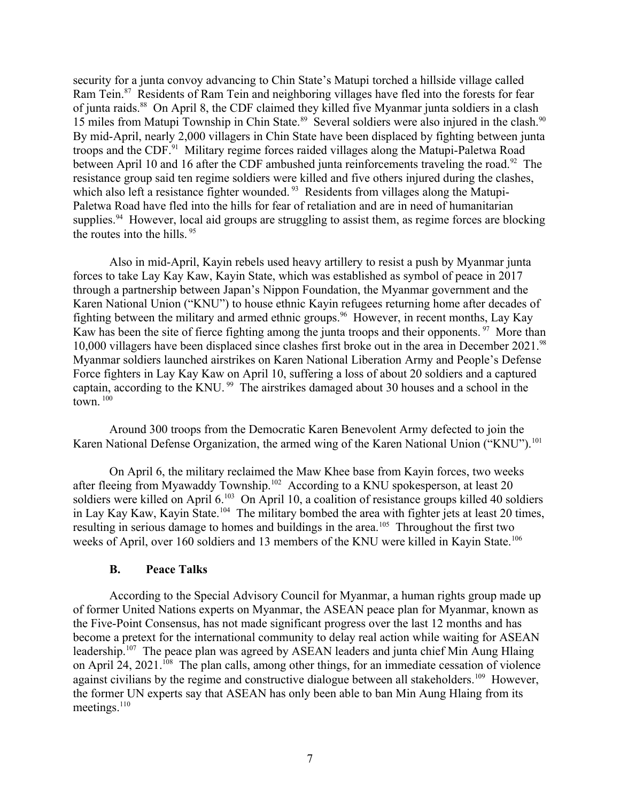<span id="page-6-2"></span><span id="page-6-1"></span>security for a junta convoy advancing to Chin State's Matupi torched a hillside village called Ram Tein.<sup>[87](#page-9-37)</sup> Residents of Ram Tein and neighboring villages have fled into the forests for fear of junta raids.[88](#page-9-38) On April 8, the CDF claimed they killed five Myanmar junta soldiers in a clash 15 miles from Matupi Township in Chin State.<sup>[89](#page-9-39)</sup> Several soldiers were also injured in the clash.<sup>[90](#page-9-40)</sup> By mid-April, nearly 2,000 villagers in Chin State have been displaced by fighting between junta troops and the CDF.[91](#page-9-41) Military regime forces raided villages along the Matupi-Paletwa Road between April 10 and 16 after the CDF ambushed junta reinforcements traveling the road.<sup>[92](#page-9-42)</sup> The resistance group said ten regime soldiers were killed and five others injured during the clashes, which also left a resistance fighter wounded.<sup>[93](#page-9-43)</sup> Residents from villages along the Matupi-Paletwa Road have fled into the hills for fear of retaliation and are in need of humanitarian supplies.<sup>[94](#page-9-44)</sup> However, local aid groups are struggling to assist them, as regime forces are blocking the routes into the hills. <sup>[95](#page-9-45)</sup>

<span id="page-6-9"></span><span id="page-6-8"></span><span id="page-6-7"></span><span id="page-6-6"></span><span id="page-6-5"></span><span id="page-6-4"></span><span id="page-6-3"></span>Also in mid-April, Kayin rebels used heavy artillery to resist a push by Myanmar junta forces to take Lay Kay Kaw, Kayin State, which was established as symbol of peace in 2017 through a partnership between Japan's Nippon Foundation, the Myanmar government and the Karen National Union ("KNU") to house ethnic Kayin refugees returning home after decades of fighting between the military and armed ethnic groups.<sup>[96](#page-9-46)</sup> However, in recent months, Lay Kay Kaw has been the site of fierce fighting among the junta troops and their opponents.  $97$  More than 10,000 villagers have been displaced since clashes first broke out in the area in December 2021.<sup>[98](#page-9-48)</sup> Myanmar soldiers launched airstrikes on Karen National Liberation Army and People's Defense Force fighters in Lay Kay Kaw on April 10, suffering a loss of about 20 soldiers and a captured captain, according to the KNU.<sup>[99](#page-9-49)</sup> The airstrikes damaged about 30 houses and a school in the town.  $100$ 

<span id="page-6-13"></span><span id="page-6-11"></span><span id="page-6-10"></span>Around 300 troops from the Democratic Karen Benevolent Army defected to join the Karen National Defense Organization, the armed wing of the Karen National Union ("KNU").<sup>[101](#page-9-51)</sup>

<span id="page-6-14"></span>On April 6, the military reclaimed the Maw Khee base from Kayin forces, two weeks after fleeing from Myawaddy Township.<sup>[102](#page-9-52)</sup> According to a KNU spokesperson, at least 20 soldiers were killed on April 6.<sup>[103](#page-9-53)</sup> On April 10, a coalition of resistance groups killed 40 soldiers in Lay Kay Kaw, Kayin State.<sup>[104](#page-9-54)</sup> The military bombed the area with fighter jets at least 20 times, resulting in serious damage to homes and buildings in the area.[105](#page-9-55) Throughout the first two weeks of April, over 160 soldiers and 13 members of the KNU were killed in Kayin State.<sup>[106](#page-10-0)</sup>

### <span id="page-6-23"></span><span id="page-6-20"></span><span id="page-6-19"></span><span id="page-6-18"></span><span id="page-6-17"></span><span id="page-6-16"></span><span id="page-6-15"></span><span id="page-6-12"></span><span id="page-6-0"></span>**B. Peace Talks**

<span id="page-6-24"></span><span id="page-6-22"></span><span id="page-6-21"></span>According to the Special Advisory Council for Myanmar, a human rights group made up of former United Nations experts on Myanmar, the ASEAN peace plan for Myanmar, known as the Five-Point Consensus, has not made significant progress over the last 12 months and has become a pretext for the international community to delay real action while waiting for ASEAN leadership.<sup>[107](#page-10-1)</sup> The peace plan was agreed by ASEAN leaders and junta chief Min Aung Hlaing on April 24, 2021.<sup>[108](#page-10-2)</sup> The plan calls, among other things, for an immediate cessation of violence against civilians by the regime and constructive dialogue between all stakeholders.<sup>[109](#page-10-3)</sup> However, the former UN experts say that ASEAN has only been able to ban Min Aung Hlaing from its meetings.<sup>[110](#page-10-4)</sup>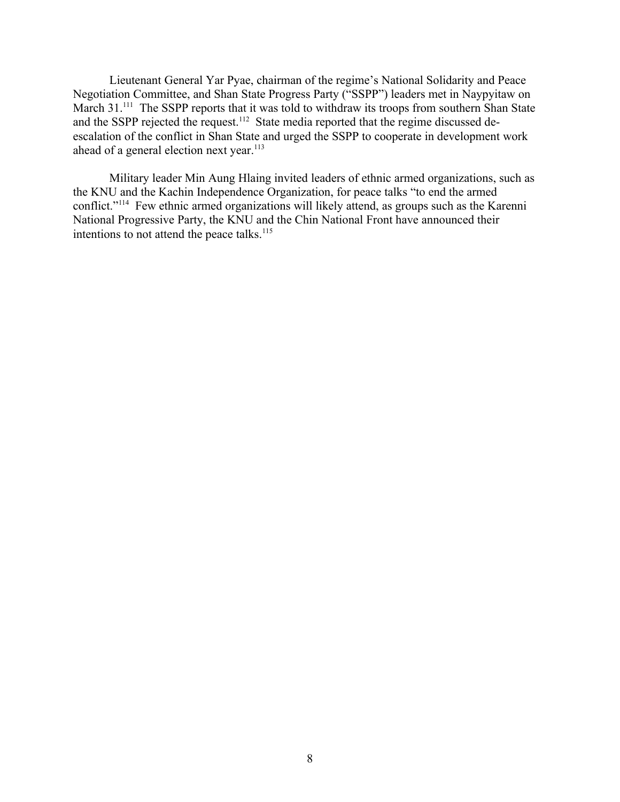Lieutenant General Yar Pyae, chairman of the regime's National Solidarity and Peace Negotiation Committee, and Shan State Progress Party ("SSPP") leaders met in Naypyitaw on March 31.<sup>[111](#page-10-5)</sup> The SSPP reports that it was told to withdraw its troops from southern Shan State and the SSPP rejected the request.<sup>[112](#page-10-6)</sup> State media reported that the regime discussed deescalation of the conflict in Shan State and urged the SSPP to cooperate in development work ahead of a general election next year.<sup>[113](#page-10-7)</sup>

<span id="page-7-4"></span><span id="page-7-3"></span><span id="page-7-2"></span><span id="page-7-1"></span><span id="page-7-0"></span>Military leader Min Aung Hlaing invited leaders of ethnic armed organizations, such as the KNU and the Kachin Independence Organization, for peace talks "to end the armed conflict."[114](#page-10-8) Few ethnic armed organizations will likely attend, as groups such as the Karenni National Progressive Party, the KNU and the Chin National Front have announced their intentions to not attend the peace talks. $115$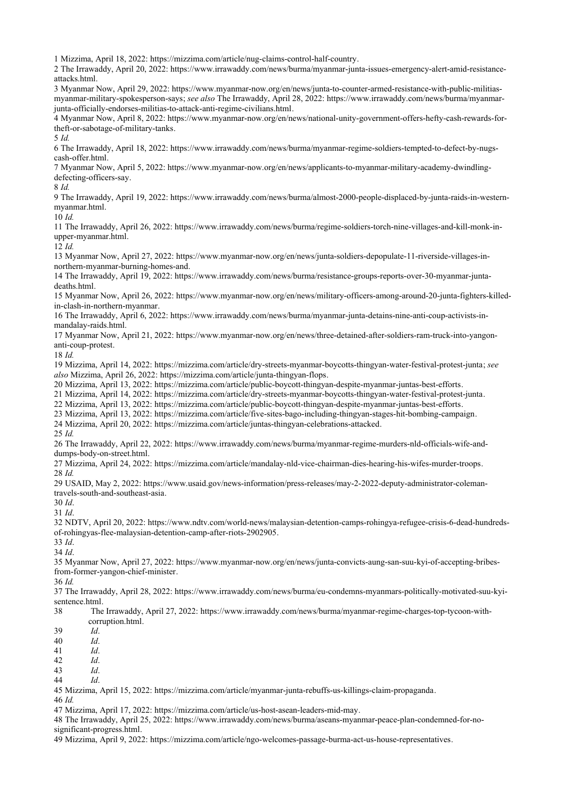<span id="page-8-2"></span><span id="page-8-1"></span><span id="page-8-0"></span>Mizzima, April 18, 2022: https://mizzima.com/article/nug-claims-control-half-country.

<span id="page-8-3"></span> The Irrawaddy, April 20, 2022: https://www.irrawaddy.com/news/burma/myanmar-junta-issues-emergency-alert-amid-resistanceattacks.html.

<span id="page-8-5"></span><span id="page-8-4"></span> Myanmar Now, April 29, 2022: https://www.myanmar-now.org/en/news/junta-to-counter-armed-resistance-with-public-militiasmyanmar-military-spokesperson-says; *see also* The Irrawaddy, April 28, 2022: https://www.irrawaddy.com/news/burma/myanmarjunta-officially-endorses-militias-to-attack-anti-regime-civilians.html.

<span id="page-8-6"></span> Myanmar Now, April 8, 2022: https://www.myanmar-now.org/en/news/national-unity-government-offers-hefty-cash-rewards-fortheft-or-sabotage-of-military-tanks.

<span id="page-8-7"></span>*Id.*

<span id="page-8-8"></span> The Irrawaddy, April 18, 2022: https://www.irrawaddy.com/news/burma/myanmar-regime-soldiers-tempted-to-defect-by-nugscash-offer.html.

<span id="page-8-9"></span> Myanmar Now, April 5, 2022: https://www.myanmar-now.org/en/news/applicants-to-myanmar-military-academy-dwindlingdefecting-officers-say.

<span id="page-8-10"></span>*Id.*

<span id="page-8-11"></span> The Irrawaddy, April 19, 2022: https://www.irrawaddy.com/news/burma/almost-2000-people-displaced-by-junta-raids-in-westernmyanmar.html.

<span id="page-8-12"></span>*Id.*

<span id="page-8-13"></span> The Irrawaddy, April 26, 2022: https://www.irrawaddy.com/news/burma/regime-soldiers-torch-nine-villages-and-kill-monk-inupper-myanmar.html.

<span id="page-8-14"></span>*Id.*

 Myanmar Now, April 27, 2022: https://www.myanmar-now.org/en/news/junta-soldiers-depopulate-11-riverside-villages-innorthern-myanmar-burning-homes-and.

<span id="page-8-15"></span> The Irrawaddy, April 19, 2022: https://www.irrawaddy.com/news/burma/resistance-groups-reports-over-30-myanmar-juntadeaths.html.

<span id="page-8-16"></span> Myanmar Now, April 26, 2022: https://www.myanmar-now.org/en/news/military-officers-among-around-20-junta-fighters-killedin-clash-in-northern-myanmar.

<span id="page-8-18"></span><span id="page-8-17"></span> The Irrawaddy, April 6, 2022: https://www.irrawaddy.com/news/burma/myanmar-junta-detains-nine-anti-coup-activists-inmandalay-raids.html.

<span id="page-8-19"></span> Myanmar Now, April 21, 2022: https://www.myanmar-now.org/en/news/three-detained-after-soldiers-ram-truck-into-yangonanti-coup-protest.

<span id="page-8-21"></span><span id="page-8-20"></span>*Id.* 

<span id="page-8-22"></span> Mizzima, April 14, 2022: https://mizzima.com/article/dry-streets-myanmar-boycotts-thingyan-water-festival-protest-junta; *see also* Mizzima, April 26, 2022: https://mizzima.com/article/junta-thingyan-flops.

<span id="page-8-24"></span><span id="page-8-23"></span>Mizzima, April 13, 2022: https://mizzima.com/article/public-boycott-thingyan-despite-myanmar-juntas-best-efforts.

<span id="page-8-25"></span>Mizzima, April 14, 2022: https://mizzima.com/article/dry-streets-myanmar-boycotts-thingyan-water-festival-protest-junta.

Mizzima, April 13, 2022: https://mizzima.com/article/public-boycott-thingyan-despite-myanmar-juntas-best-efforts.

<span id="page-8-26"></span>Mizzima, April 13, 2022: https://mizzima.com/article/five-sites-bago-including-thingyan-stages-hit-bombing-campaign.

<span id="page-8-27"></span>Mizzima, April 20, 2022: https://mizzima.com/article/juntas-thingyan-celebrations-attacked.

<span id="page-8-28"></span>*Id.*

 The Irrawaddy, April 22, 2022: https://www.irrawaddy.com/news/burma/myanmar-regime-murders-nld-officials-wife-anddumps-body-on-street.html.

<span id="page-8-30"></span><span id="page-8-29"></span> Mizzima, April 24, 2022: https://mizzima.com/article/mandalay-nld-vice-chairman-dies-hearing-his-wifes-murder-troops. *Id.*

<span id="page-8-31"></span> USAID, May 2, 2022: https://www.usaid.gov/news-information/press-releases/may-2-2022-deputy-administrator-colemantravels-south-and-southeast-asia.

<span id="page-8-33"></span><span id="page-8-32"></span>*Id*.

<span id="page-8-34"></span>*Id*.

 NDTV, April 20, 2022: https://www.ndtv.com/world-news/malaysian-detention-camps-rohingya-refugee-crisis-6-dead-hundredsof-rohingyas-flee-malaysian-detention-camp-after-riots-2902905.

<span id="page-8-36"></span><span id="page-8-35"></span>*Id*.

*Id*.

<span id="page-8-37"></span> Myanmar Now, April 27, 2022: https://www.myanmar-now.org/en/news/junta-convicts-aung-san-suu-kyi-of-accepting-bribesfrom-former-yangon-chief-minister.

<span id="page-8-38"></span>*Id.*

<span id="page-8-39"></span> The Irrawaddy, April 28, 2022: https://www.irrawaddy.com/news/burma/eu-condemns-myanmars-politically-motivated-suu-kyisentence.html.

<span id="page-8-41"></span><span id="page-8-40"></span> The Irrawaddy, April 27, 2022: https://www.irrawaddy.com/news/burma/myanmar-regime-charges-top-tycoon-withcorruption.html.

<span id="page-8-43"></span><span id="page-8-42"></span>*Id*.

<span id="page-8-44"></span>*Id*.

<span id="page-8-45"></span>*Id*.

<span id="page-8-46"></span>*Id*.

<span id="page-8-47"></span>*Id*.

*Id*.

<span id="page-8-48"></span>Mizzima, April 15, 2022: https://mizzima.com/article/myanmar-junta-rebuffs-us-killings-claim-propaganda.

*Id.*

Mizzima, April 17, 2022: https://mizzima.com/article/us-host-asean-leaders-mid-may.

 The Irrawaddy, April 25, 2022: https://www.irrawaddy.com/news/burma/aseans-myanmar-peace-plan-condemned-for-nosignificant-progress.html.

Mizzima, April 9, 2022: https://mizzima.com/article/ngo-welcomes-passage-burma-act-us-house-representatives.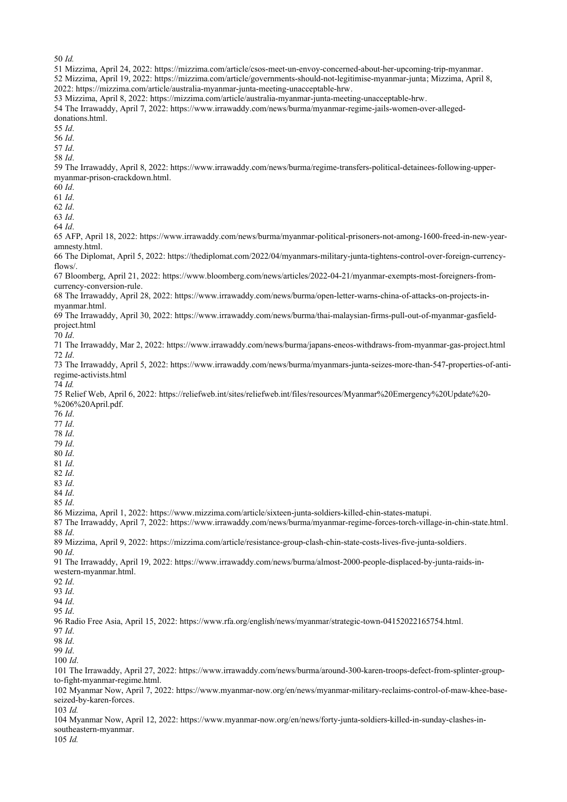<span id="page-9-4"></span><span id="page-9-3"></span><span id="page-9-2"></span><span id="page-9-1"></span><span id="page-9-0"></span>*Id.*

<span id="page-9-29"></span><span id="page-9-28"></span><span id="page-9-27"></span><span id="page-9-26"></span><span id="page-9-25"></span><span id="page-9-24"></span><span id="page-9-23"></span><span id="page-9-22"></span><span id="page-9-21"></span><span id="page-9-20"></span><span id="page-9-19"></span><span id="page-9-18"></span><span id="page-9-17"></span><span id="page-9-16"></span><span id="page-9-15"></span><span id="page-9-14"></span><span id="page-9-13"></span><span id="page-9-12"></span><span id="page-9-11"></span><span id="page-9-10"></span><span id="page-9-9"></span><span id="page-9-8"></span><span id="page-9-7"></span><span id="page-9-6"></span><span id="page-9-5"></span> Mizzima, April 24, 2022: https://mizzima.com/article/csos-meet-un-envoy-concerned-about-her-upcoming-trip-myanmar. Mizzima, April 19, 2022: https://mizzima.com/article/governments-should-not-legitimise-myanmar-junta; Mizzima, April 8, 2022: https://mizzima.com/article/australia-myanmar-junta-meeting-unacceptable-hrw. Mizzima, April 8, 2022: https://mizzima.com/article/australia-myanmar-junta-meeting-unacceptable-hrw. The Irrawaddy, April 7, 2022: https://www.irrawaddy.com/news/burma/myanmar-regime-jails-women-over-allegeddonations.html. *Id*. *Id*. *Id*. *Id*. The Irrawaddy, April 8, 2022: https://www.irrawaddy.com/news/burma/regime-transfers-political-detainees-following-uppermyanmar-prison-crackdown.html. *Id*. *Id*. *Id*. *Id*. *Id*. AFP, April 18, 2022: https://www.irrawaddy.com/news/burma/myanmar-political-prisoners-not-among-1600-freed-in-new-yearamnesty.html. The Diplomat, April 5, 2022: https://thediplomat.com/2022/04/myanmars-military-junta-tightens-control-over-foreign-currencyflows/. Bloomberg, April 21, 2022: https://www.bloomberg.com/news/articles/2022-04-21/myanmar-exempts-most-foreigners-fromcurrency-conversion-rule. The Irrawaddy, April 28, 2022: https://www.irrawaddy.com/news/burma/open-letter-warns-china-of-attacks-on-projects-inmyanmar.html. The Irrawaddy, April 30, 2022: https://www.irrawaddy.com/news/burma/thai-malaysian-firms-pull-out-of-myanmar-gasfieldproject.html *Id*. The Irrawaddy, Mar 2, 2022: https://www.irrawaddy.com/news/burma/japans-eneos-withdraws-from-myanmar-gas-project.html *Id*. The Irrawaddy, April 5, 2022: https://www.irrawaddy.com/news/burma/myanmars-junta-seizes-more-than-547-properties-of-antiregime-activists.html *Id.* Relief Web, April 6, 2022: https://reliefweb.int/sites/reliefweb.int/files/resources/Myanmar%20Emergency%20Update%20- %206%20April.pdf. *Id*. *Id*. *Id*. *Id*. *Id*. *Id*. *Id*. *Id*. *Id*. *Id*. Mizzima, April 1, 2022: https://www.mizzima.com/article/sixteen-junta-soldiers-killed-chin-states-matupi. The Irrawaddy, April 7, 2022: https://www.irrawaddy.com/news/burma/myanmar-regime-forces-torch-village-in-chin-state.html. *Id*. Mizzima, April 9, 2022: https://mizzima.com/article/resistance-group-clash-chin-state-costs-lives-five-junta-soldiers. *Id*. The Irrawaddy, April 19, 2022: https://www.irrawaddy.com/news/burma/almost-2000-people-displaced-by-junta-raids-inwestern-myanmar.html. *Id*. *Id*. *Id*. *Id*. Radio Free Asia, April 15, 2022: https://www.rfa.org/english/news/myanmar/strategic-town-04152022165754.html. *Id*. *Id*. *Id*. *Id*. The Irrawaddy, April 27, 2022: https://www.irrawaddy.com/news/burma/around-300-karen-troops-defect-from-splinter-groupto-fight-myanmar-regime.html. Myanmar Now, April 7, 2022: https://www.myanmar-now.org/en/news/myanmar-military-reclaims-control-of-maw-khee-baseseized-by-karen-forces. *Id.* Myanmar Now, April 12, 2022: https://www.myanmar-now.org/en/news/forty-junta-soldiers-killed-in-sunday-clashes-insoutheastern-myanmar.

<span id="page-9-55"></span><span id="page-9-54"></span><span id="page-9-53"></span><span id="page-9-52"></span><span id="page-9-51"></span><span id="page-9-50"></span><span id="page-9-49"></span><span id="page-9-48"></span><span id="page-9-47"></span><span id="page-9-46"></span><span id="page-9-45"></span><span id="page-9-44"></span><span id="page-9-43"></span><span id="page-9-42"></span><span id="page-9-41"></span><span id="page-9-40"></span><span id="page-9-39"></span><span id="page-9-38"></span><span id="page-9-37"></span><span id="page-9-36"></span><span id="page-9-35"></span><span id="page-9-34"></span><span id="page-9-33"></span><span id="page-9-32"></span><span id="page-9-31"></span><span id="page-9-30"></span>*Id.*